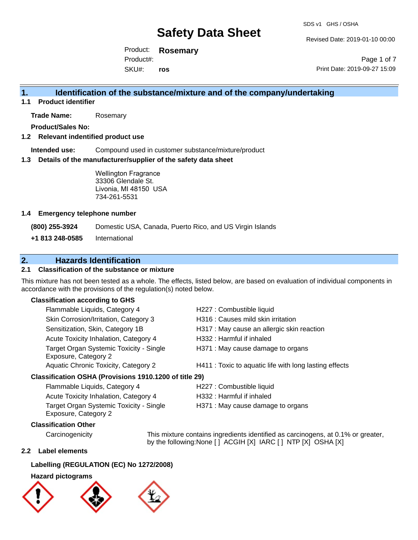Revised Date: 2019-01-10 00:00

Product: **Rosemary** SKU#: Product#: **ros**

Page 1 of 7 Print Date: 2019-09-27 15:09

## **1. Identification of the substance/mixture and of the company/undertaking**

**1.1 Product identifier**

**Trade Name:** Rosemary

**Product/Sales No:**

#### **1.2 Relevant indentified product use**

**Intended use:** Compound used in customer substance/mixture/product

#### **1.3 Details of the manufacturer/supplier of the safety data sheet**

Wellington Fragrance 33306 Glendale St. Livonia, MI 48150 USA 734-261-5531

#### **1.4 Emergency telephone number**

**(800) 255-3924** Domestic USA, Canada, Puerto Rico, and US Virgin Islands

**+1 813 248-0585** International

## **2. Hazards Identification**

### **2.1 Classification of the substance or mixture**

This mixture has not been tested as a whole. The effects, listed below, are based on evaluation of individual components in accordance with the provisions of the regulation(s) noted below.

#### **Classification according to GHS**

| Flammable Liquids, Category 4                                   | H227 : Combustible liquid                              |
|-----------------------------------------------------------------|--------------------------------------------------------|
| Skin Corrosion/Irritation, Category 3                           | H316 : Causes mild skin irritation                     |
| Sensitization, Skin, Category 1B                                | H317 : May cause an allergic skin reaction             |
| Acute Toxicity Inhalation, Category 4                           | H332: Harmful if inhaled                               |
| Target Organ Systemic Toxicity - Single<br>Exposure, Category 2 | H371 : May cause damage to organs                      |
| Aquatic Chronic Toxicity, Category 2                            | H411 : Toxic to aquatic life with long lasting effects |
| esification OSHA (Provisions 1910 1200 of title 29)             |                                                        |

#### **Classification OSHA (Provisions 1910.1200 of title 29)**

| Flammable Liquids, Category 4                                   | H227 : Combustible liquid         |
|-----------------------------------------------------------------|-----------------------------------|
| Acute Toxicity Inhalation, Category 4                           | H332 : Harmful if inhaled         |
| Target Organ Systemic Toxicity - Single<br>Exposure, Category 2 | H371 : May cause damage to organs |

#### **Classification Other**

Carcinogenicity This mixture contains ingredients identified as carcinogens, at 0.1% or greater, by the following:None [ ] ACGIH [X] IARC [ ] NTP [X] OSHA [X]

#### **2.2 Label elements**

#### **Labelling (REGULATION (EC) No 1272/2008)**

#### **Hazard pictograms**

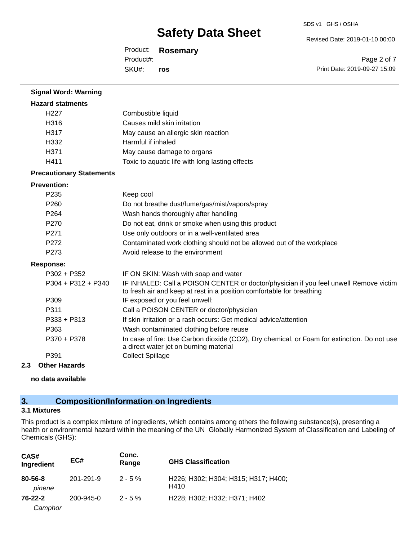Revised Date: 2019-01-10 00:00

Product: **Rosemary** SKU#: Product#: **ros**

Page 2 of 7 Print Date: 2019-09-27 15:09

| <b>Signal Word: Warning</b>     |                                                                                                                                                                |
|---------------------------------|----------------------------------------------------------------------------------------------------------------------------------------------------------------|
| <b>Hazard statments</b>         |                                                                                                                                                                |
| H <sub>227</sub>                | Combustible liquid                                                                                                                                             |
| H316                            | Causes mild skin irritation                                                                                                                                    |
| H317                            | May cause an allergic skin reaction                                                                                                                            |
| H332                            | Harmful if inhaled                                                                                                                                             |
| H371                            | May cause damage to organs                                                                                                                                     |
| H411                            | Toxic to aquatic life with long lasting effects                                                                                                                |
| <b>Precautionary Statements</b> |                                                                                                                                                                |
| <b>Prevention:</b>              |                                                                                                                                                                |
| P235                            | Keep cool                                                                                                                                                      |
| P260                            | Do not breathe dust/fume/gas/mist/vapors/spray                                                                                                                 |
| P <sub>264</sub>                | Wash hands thoroughly after handling                                                                                                                           |
| P270                            | Do not eat, drink or smoke when using this product                                                                                                             |
| P271                            | Use only outdoors or in a well-ventilated area                                                                                                                 |
| P272                            | Contaminated work clothing should not be allowed out of the workplace                                                                                          |
| P273                            | Avoid release to the environment                                                                                                                               |
| <b>Response:</b>                |                                                                                                                                                                |
| $P302 + P352$                   | IF ON SKIN: Wash with soap and water                                                                                                                           |
| P304 + P312 + P340              | IF INHALED: Call a POISON CENTER or doctor/physician if you feel unwell Remove victim<br>to fresh air and keep at rest in a position comfortable for breathing |
| P309                            | IF exposed or you feel unwell:                                                                                                                                 |
| P311                            | Call a POISON CENTER or doctor/physician                                                                                                                       |
| P333 + P313                     | If skin irritation or a rash occurs: Get medical advice/attention                                                                                              |
| P363                            | Wash contaminated clothing before reuse                                                                                                                        |
| P370 + P378                     | In case of fire: Use Carbon dioxide (CO2), Dry chemical, or Foam for extinction. Do not use<br>a direct water jet on burning material                          |
| P391                            | <b>Collect Spillage</b>                                                                                                                                        |
| 2.3<br><b>Other Hazards</b>     |                                                                                                                                                                |

**no data available**

## **3. Composition/Information on Ingredients**

## **3.1 Mixtures**

This product is a complex mixture of ingredients, which contains among others the following substance(s), presenting a health or environmental hazard within the meaning of the UN Globally Harmonized System of Classification and Labeling of Chemicals (GHS):

| CAS#<br>Ingredient       | EC#       | Conc.<br>Range | <b>GHS Classification</b>                   |
|--------------------------|-----------|----------------|---------------------------------------------|
| $80 - 56 - 8$<br>pinene  | 201-291-9 | $2 - 5\%$      | H226; H302; H304; H315; H317; H400;<br>H410 |
| $76 - 22 - 2$<br>Camphor | 200-945-0 | $2 - 5\%$      | H228; H302; H332; H371; H402                |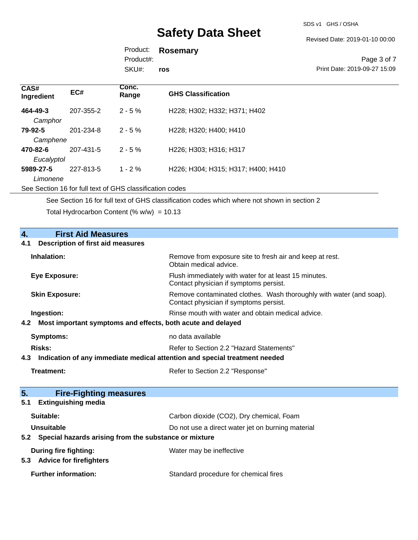SDS v1 GHS / OSHA

Revised Date: 2019-01-10 00:00

Product: **Rosemary** Product#:

SKU#: **ros**

Page 3 of 7 Print Date: 2019-09-27 15:09

| CAS#<br>Ingredient | EC#       | Conc.<br>Range | <b>GHS Classification</b>          |
|--------------------|-----------|----------------|------------------------------------|
| 464-49-3           | 207-355-2 | $2 - 5 \%$     | H228; H302; H332; H371; H402       |
| Camphor            |           |                |                                    |
| 79-92-5            | 201-234-8 | $2 - 5 \%$     | H228; H320; H400; H410             |
| Camphene           |           |                |                                    |
| 470-82-6           | 207-431-5 | $2 - 5 \%$     | H226; H303; H316; H317             |
| Eucalyptol         |           |                |                                    |
| 5989-27-5          | 227-813-5 | $1 - 2\%$      | H226; H304; H315; H317; H400; H410 |
| Limonene           |           |                |                                    |

See Section 16 for full text of GHS classification codes

See Section 16 for full text of GHS classification codes which where not shown in section 2

Total Hydrocarbon Content (% w/w) =  $10.13$ 

| 4.<br><b>First Aid Measures</b><br><b>Description of first aid measures</b><br>4.1 |                                                                                                               |  |
|------------------------------------------------------------------------------------|---------------------------------------------------------------------------------------------------------------|--|
| Inhalation:                                                                        | Remove from exposure site to fresh air and keep at rest.<br>Obtain medical advice.                            |  |
| <b>Eye Exposure:</b>                                                               | Flush immediately with water for at least 15 minutes.<br>Contact physician if symptoms persist.               |  |
| <b>Skin Exposure:</b>                                                              | Remove contaminated clothes. Wash thoroughly with water (and soap).<br>Contact physician if symptoms persist. |  |
| Ingestion:                                                                         | Rinse mouth with water and obtain medical advice.                                                             |  |
| Most important symptoms and effects, both acute and delayed<br>4.2                 |                                                                                                               |  |
| <b>Symptoms:</b>                                                                   | no data available                                                                                             |  |
| Risks:                                                                             | Refer to Section 2.2 "Hazard Statements"                                                                      |  |
| Indication of any immediate medical attention and special treatment needed<br>4.3  |                                                                                                               |  |
| Treatment:                                                                         | Refer to Section 2.2 "Response"                                                                               |  |
| 5.<br><b>Fire-Fighting measures</b>                                                |                                                                                                               |  |
| <b>Extinguishing media</b><br>5.1                                                  |                                                                                                               |  |
| Suitable:                                                                          | Carbon dioxide (CO2), Dry chemical, Foam                                                                      |  |
| <b>Unsuitable</b>                                                                  | Do not use a direct water jet on burning material                                                             |  |
| Special hazards arising from the substance or mixture<br>5.2                       |                                                                                                               |  |
| During fire fighting:<br>5.3 Advice for firefighters                               | Water may be ineffective                                                                                      |  |
| <b>Further information:</b>                                                        | Standard procedure for chemical fires                                                                         |  |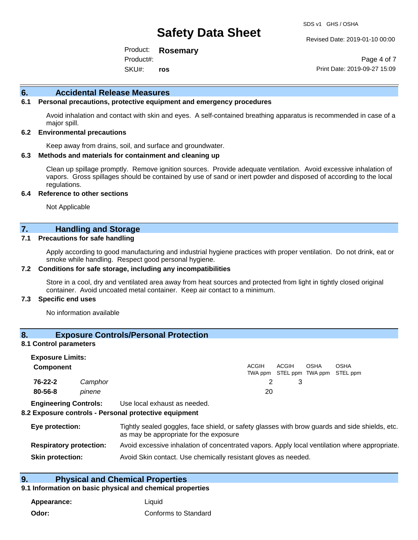Revised Date: 2019-01-10 00:00

Product: **Rosemary** SKU#: Product#: **ros**

Page 4 of 7 Print Date: 2019-09-27 15:09

#### **6. Accidental Release Measures**

#### **6.1 Personal precautions, protective equipment and emergency procedures**

Avoid inhalation and contact with skin and eyes. A self-contained breathing apparatus is recommended in case of a major spill.

#### **6.2 Environmental precautions**

Keep away from drains, soil, and surface and groundwater.

#### **6.3 Methods and materials for containment and cleaning up**

Clean up spillage promptly. Remove ignition sources. Provide adequate ventilation. Avoid excessive inhalation of vapors. Gross spillages should be contained by use of sand or inert powder and disposed of according to the local regulations.

#### **6.4 Reference to other sections**

Not Applicable

#### **7. Handling and Storage**

#### **7.1 Precautions for safe handling**

Apply according to good manufacturing and industrial hygiene practices with proper ventilation. Do not drink, eat or smoke while handling. Respect good personal hygiene.

#### **7.2 Conditions for safe storage, including any incompatibilities**

Store in a cool, dry and ventilated area away from heat sources and protected from light in tightly closed original container. Avoid uncoated metal container. Keep air contact to a minimum.

#### **7.3 Specific end uses**

No information available

## **8. Exposure Controls/Personal Protection**

#### **8.1 Control parameters**

| <b>Exposure Limits:</b>      |         |                              |       |              |             |                                                  |  |
|------------------------------|---------|------------------------------|-------|--------------|-------------|--------------------------------------------------|--|
| <b>Component</b>             |         |                              | ACGIH | <b>ACGIH</b> | <b>OSHA</b> | <b>OSHA</b><br>TWA ppm STEL ppm TWA ppm STEL ppm |  |
| 76-22-2                      | Camphor |                              |       |              |             |                                                  |  |
| $80 - 56 - 8$                | pinene  |                              | 20    |              |             |                                                  |  |
| <b>Engineering Controls:</b> |         | Use local exhaust as needed. |       |              |             |                                                  |  |

#### **8.2 Exposure controls - Personal protective equipment**

| Eye protection:                | Tightly sealed goggles, face shield, or safety glasses with brow guards and side shields, etc.<br>as may be appropriate for the exposure |
|--------------------------------|------------------------------------------------------------------------------------------------------------------------------------------|
| <b>Respiratory protection:</b> | Avoid excessive inhalation of concentrated vapors. Apply local ventilation where appropriate.                                            |
| <b>Skin protection:</b>        | Avoid Skin contact. Use chemically resistant gloves as needed.                                                                           |

#### **9. Physical and Chemical Properties**

#### **9.1 Information on basic physical and chemical properties**

**Appearance:** Liquid **Odor:** Conforms to Standard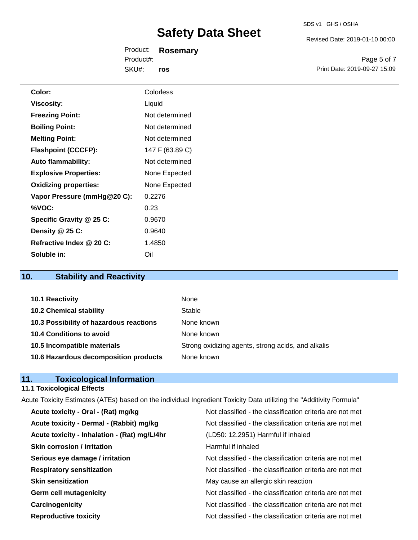Revised Date: 2019-01-10 00:00

Product: **Rosemary** SKU#: Product#: **ros**

Page 5 of 7 Print Date: 2019-09-27 15:09

| Color:                       | Colorless       |
|------------------------------|-----------------|
| <b>Viscosity:</b>            | Liquid          |
| <b>Freezing Point:</b>       | Not determined  |
| <b>Boiling Point:</b>        | Not determined  |
| <b>Melting Point:</b>        | Not determined  |
| <b>Flashpoint (CCCFP):</b>   | 147 F (63.89 C) |
| <b>Auto flammability:</b>    | Not determined  |
| <b>Explosive Properties:</b> | None Expected   |
| <b>Oxidizing properties:</b> | None Expected   |
| Vapor Pressure (mmHg@20 C):  | 0.2276          |
| %VOC:                        | 0.23            |
| Specific Gravity @ 25 C:     | 0.9670          |
| Density @ 25 C:              | 0.9640          |
| Refractive Index @ 20 C:     | 1.4850          |
| Soluble in:                  | Oil             |
|                              |                 |

## **10. Stability and Reactivity**

| 10.1 Reactivity                         | None                                               |
|-----------------------------------------|----------------------------------------------------|
| <b>10.2 Chemical stability</b>          | Stable                                             |
| 10.3 Possibility of hazardous reactions | None known                                         |
| 10.4 Conditions to avoid                | None known                                         |
| 10.5 Incompatible materials             | Strong oxidizing agents, strong acids, and alkalis |
| 10.6 Hazardous decomposition products   | None known                                         |

## **11. Toxicological Information**

## **11.1 Toxicological Effects**

|                                              | Acute Toxicity Estimates (ATEs) based on the individual Ingredient Toxicity Data utilizing the "Additivity Formula" |
|----------------------------------------------|---------------------------------------------------------------------------------------------------------------------|
| Acute toxicity - Oral - (Rat) mg/kg          | Not classified - the classification criteria are not met                                                            |
| Acute toxicity - Dermal - (Rabbit) mg/kg     | Not classified - the classification criteria are not met                                                            |
| Acute toxicity - Inhalation - (Rat) mg/L/4hr | (LD50: 12.2951) Harmful if inhaled                                                                                  |
| <b>Skin corrosion / irritation</b>           | Harmful if inhaled                                                                                                  |
| Serious eye damage / irritation              | Not classified - the classification criteria are not met                                                            |
| <b>Respiratory sensitization</b>             | Not classified - the classification criteria are not met                                                            |
| <b>Skin sensitization</b>                    | May cause an allergic skin reaction                                                                                 |
| <b>Germ cell mutagenicity</b>                | Not classified - the classification criteria are not met                                                            |
| Carcinogenicity                              | Not classified - the classification criteria are not met                                                            |
| <b>Reproductive toxicity</b>                 | Not classified - the classification criteria are not met                                                            |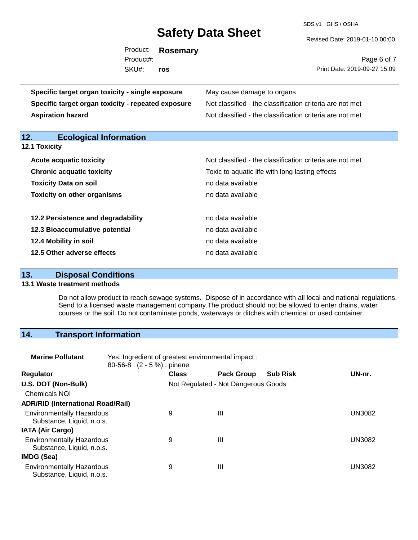SDS v1 GHS / OSHA

|                                                    | Product:<br>Product#: | <b>Rosemary</b><br>ros | Page 6 of 7                                              |  |  |
|----------------------------------------------------|-----------------------|------------------------|----------------------------------------------------------|--|--|
|                                                    | SKU#:                 |                        | Print Date: 2019-09-27 15:09                             |  |  |
| Specific target organ toxicity - single exposure   |                       |                        | May cause damage to organs                               |  |  |
| Specific target organ toxicity - repeated exposure |                       |                        | Not classified - the classification criteria are not met |  |  |
| <b>Aspiration hazard</b>                           |                       |                        | Not classified - the classification criteria are not met |  |  |

**12. Ecological Information** 

**12.1 Toxicity**

| <b>Acute acquatic toxicity</b>     | Not classified - the classification criteria are not met |
|------------------------------------|----------------------------------------------------------|
| <b>Chronic acquatic toxicity</b>   | Toxic to aquatic life with long lasting effects          |
| <b>Toxicity Data on soil</b>       | no data available                                        |
| <b>Toxicity on other organisms</b> | no data available                                        |
|                                    |                                                          |
| 12.2 Persistence and degradability | no data available                                        |
| 12.3 Bioaccumulative potential     | no data available                                        |
| 12.4 Mobility in soil              | no data available                                        |
| 12.5 Other adverse effects         | no data available                                        |

## **13. Disposal Conditions**

#### **13.1 Waste treatment methods**

Do not allow product to reach sewage systems. Dispose of in accordance with all local and national regulations. Send to a licensed waste management company.The product should not be allowed to enter drains, water courses or the soil. Do not contaminate ponds, waterways or ditches with chemical or used container.

## **14. Transport Information**

| <b>Marine Pollutant</b>                                       | Yes. Ingredient of greatest environmental impact:<br>$80-56-8$ : $(2 - 5\%)$ : pinene |              |                                     |                 |               |
|---------------------------------------------------------------|---------------------------------------------------------------------------------------|--------------|-------------------------------------|-----------------|---------------|
| <b>Regulator</b>                                              |                                                                                       | <b>Class</b> | <b>Pack Group</b>                   | <b>Sub Risk</b> | UN-nr.        |
| U.S. DOT (Non-Bulk)                                           |                                                                                       |              | Not Regulated - Not Dangerous Goods |                 |               |
| <b>Chemicals NOI</b>                                          |                                                                                       |              |                                     |                 |               |
| <b>ADR/RID (International Road/Rail)</b>                      |                                                                                       |              |                                     |                 |               |
| <b>Environmentally Hazardous</b><br>Substance, Liquid, n.o.s. |                                                                                       | 9            | Ш                                   |                 | <b>UN3082</b> |
| <b>IATA (Air Cargo)</b>                                       |                                                                                       |              |                                     |                 |               |
| <b>Environmentally Hazardous</b><br>Substance, Liquid, n.o.s. |                                                                                       | 9            | Ш                                   |                 | <b>UN3082</b> |
| IMDG (Sea)                                                    |                                                                                       |              |                                     |                 |               |
| <b>Environmentally Hazardous</b><br>Substance, Liquid, n.o.s. |                                                                                       | 9            | $\mathbf{III}$                      |                 | UN3082        |